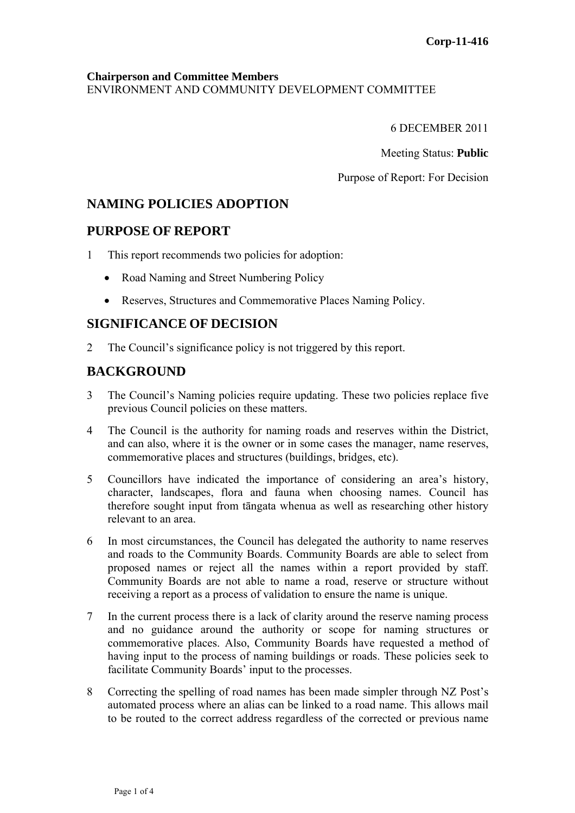### **Chairperson and Committee Members** ENVIRONMENT AND COMMUNITY DEVELOPMENT COMMITTEE

6 DECEMBER 2011

Meeting Status: **Public**

Purpose of Report: For Decision

# **NAMING POLICIES ADOPTION**

## **PURPOSE OF REPORT**

- 1 This report recommends two policies for adoption:
	- Road Naming and Street Numbering Policy
	- Reserves, Structures and Commemorative Places Naming Policy.

# **SIGNIFICANCE OF DECISION**

2 The Council's significance policy is not triggered by this report.

# **BACKGROUND**

- 3 The Council's Naming policies require updating. These two policies replace five previous Council policies on these matters.
- 4 The Council is the authority for naming roads and reserves within the District, and can also, where it is the owner or in some cases the manager, name reserves, commemorative places and structures (buildings, bridges, etc).
- 5 Councillors have indicated the importance of considering an area's history, character, landscapes, flora and fauna when choosing names. Council has therefore sought input from tāngata whenua as well as researching other history relevant to an area.
- 6 In most circumstances, the Council has delegated the authority to name reserves and roads to the Community Boards. Community Boards are able to select from proposed names or reject all the names within a report provided by staff. Community Boards are not able to name a road, reserve or structure without receiving a report as a process of validation to ensure the name is unique.
- 7 In the current process there is a lack of clarity around the reserve naming process and no guidance around the authority or scope for naming structures or commemorative places. Also, Community Boards have requested a method of having input to the process of naming buildings or roads. These policies seek to facilitate Community Boards' input to the processes.
- 8 Correcting the spelling of road names has been made simpler through NZ Post's automated process where an alias can be linked to a road name. This allows mail to be routed to the correct address regardless of the corrected or previous name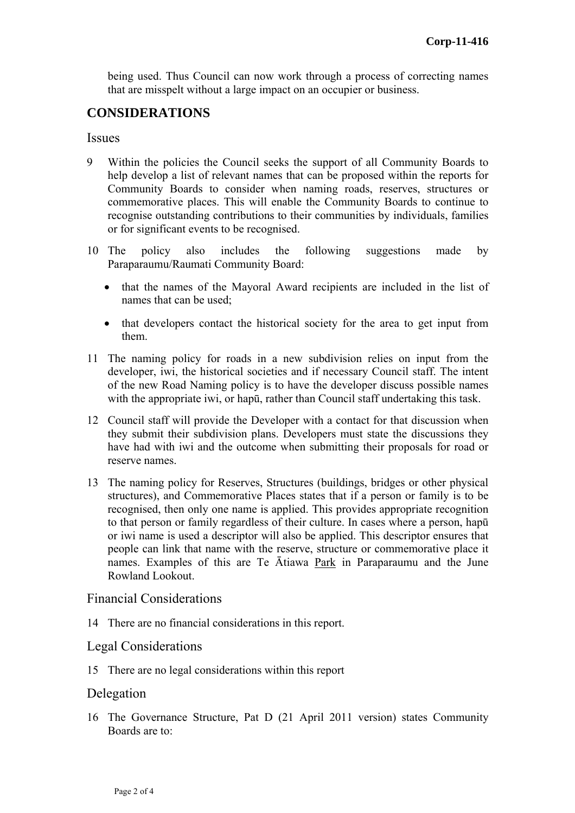being used. Thus Council can now work through a process of correcting names that are misspelt without a large impact on an occupier or business.

## **CONSIDERATIONS**

#### **Issues**

- 9 Within the policies the Council seeks the support of all Community Boards to help develop a list of relevant names that can be proposed within the reports for Community Boards to consider when naming roads, reserves, structures or commemorative places. This will enable the Community Boards to continue to recognise outstanding contributions to their communities by individuals, families or for significant events to be recognised.
- 10 The policy also includes the following suggestions made by Paraparaumu/Raumati Community Board:
	- that the names of the Mayoral Award recipients are included in the list of names that can be used;
	- that developers contact the historical society for the area to get input from them.
- 11 The naming policy for roads in a new subdivision relies on input from the developer, iwi, the historical societies and if necessary Council staff. The intent of the new Road Naming policy is to have the developer discuss possible names with the appropriate iwi, or hapū, rather than Council staff undertaking this task.
- 12 Council staff will provide the Developer with a contact for that discussion when they submit their subdivision plans. Developers must state the discussions they have had with iwi and the outcome when submitting their proposals for road or reserve names.
- 13 The naming policy for Reserves, Structures (buildings, bridges or other physical structures), and Commemorative Places states that if a person or family is to be recognised, then only one name is applied. This provides appropriate recognition to that person or family regardless of their culture. In cases where a person, hapū or iwi name is used a descriptor will also be applied. This descriptor ensures that people can link that name with the reserve, structure or commemorative place it names. Examples of this are Te Ātiawa Park in Paraparaumu and the June Rowland Lookout.

## Financial Considerations

14 There are no financial considerations in this report.

#### Legal Considerations

15 There are no legal considerations within this report

#### Delegation

16 The Governance Structure, Pat D (21 April 2011 version) states Community Boards are to: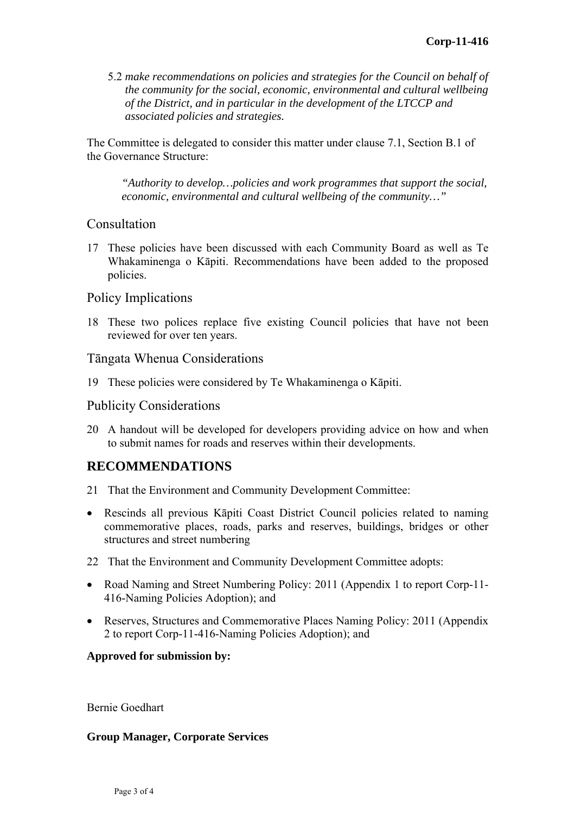5.2 *make recommendations on policies and strategies for the Council on behalf of the community for the social, economic, environmental and cultural wellbeing of the District, and in particular in the development of the LTCCP and associated policies and strategies.* 

The Committee is delegated to consider this matter under clause 7.1, Section B.1 of the Governance Structure:

*"Authority to develop…policies and work programmes that support the social, economic, environmental and cultural wellbeing of the community…"* 

## Consultation

17 These policies have been discussed with each Community Board as well as Te Whakaminenga o Kāpiti. Recommendations have been added to the proposed policies.

## Policy Implications

18 These two polices replace five existing Council policies that have not been reviewed for over ten years.

## Tāngata Whenua Considerations

19 These policies were considered by Te Whakaminenga o Kāpiti.

## Publicity Considerations

20 A handout will be developed for developers providing advice on how and when to submit names for roads and reserves within their developments.

# **RECOMMENDATIONS**

- 21 That the Environment and Community Development Committee:
- Rescinds all previous Kāpiti Coast District Council policies related to naming commemorative places, roads, parks and reserves, buildings, bridges or other structures and street numbering
- 22 That the Environment and Community Development Committee adopts:
- Road Naming and Street Numbering Policy: 2011 (Appendix 1 to report Corp-11-416-Naming Policies Adoption); and
- Reserves, Structures and Commemorative Places Naming Policy: 2011 (Appendix 2 to report Corp-11-416-Naming Policies Adoption); and

## **Approved for submission by:**

Bernie Goedhart

## **Group Manager, Corporate Services**